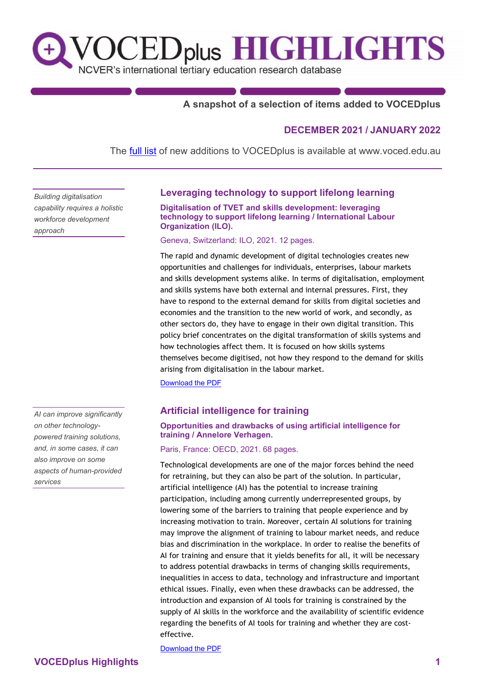# **OCEDplus HIGHLIGHTS**  $\mathbf{t}$ NCVER's international tertiary education research database

# **A snapshot of a selection of items added to VOCEDplus**

# **DECEMBER 2021 / JANUARY 2022**

The **[full list](https://www.voced.edu.au/newItemsAdded)** of new additions to VOCEDplus is available at www.voced.edu.au

*Building digitalisation capability requires a holistic workforce development approach*

*AI can improve significantly on other technologypowered training solutions, and, in some cases, it can also improve on some aspects of human-provided services*

# **Leveraging technology to support lifelong learning**

**Digitalisation of TVET and skills development: leveraging technology to support lifelong learning / International Labour Organization (ILO).**

Geneva, Switzerland: ILO, 2021. 12 pages.

The rapid and dynamic development of digital technologies creates new opportunities and challenges for individuals, enterprises, labour markets and skills development systems alike. In terms of digitalisation, employment and skills systems have both external and internal pressures. First, they have to respond to the external demand for skills from digital societies and economies and the transition to the new world of work, and secondly, as other sectors do, they have to engage in their own digital transition. This policy brief concentrates on the digital transformation of skills systems and how technologies affect them. It is focused on how skills systems themselves become digitised, not how they respond to the demand for skills arising from digitalisation in the labour market.

[Download the PDF](https://iloskillskspstorage.blob.core.windows.net/development/resources/5139/WEB-Digitalisation%20of%20TVET.pdf)

# **Artificial intelligence for training**

#### **Opportunities and drawbacks of using artificial intelligence for training / Annelore Verhagen.**

Paris, France: OECD, 2021. 68 pages.

Technological developments are one of the major forces behind the need for retraining, but they can also be part of the solution. In particular, artificial intelligence (AI) has the potential to increase training participation, including among currently underrepresented groups, by lowering some of the barriers to training that people experience and by increasing motivation to train. Moreover, certain AI solutions for training may improve the alignment of training to labour market needs, and reduce bias and discrimination in the workplace. In order to realise the benefits of AI for training and ensure that it yields benefits for all, it will be necessary to address potential drawbacks in terms of changing skills requirements, inequalities in access to data, technology and infrastructure and important ethical issues. Finally, even when these drawbacks can be addressed, the introduction and expansion of AI tools for training is constrained by the supply of AI skills in the workforce and the availability of scientific evidence regarding the benefits of AI tools for training and whether they are costeffective.

[Download the PDF](https://doi.org/10.1787/22729bd6-en)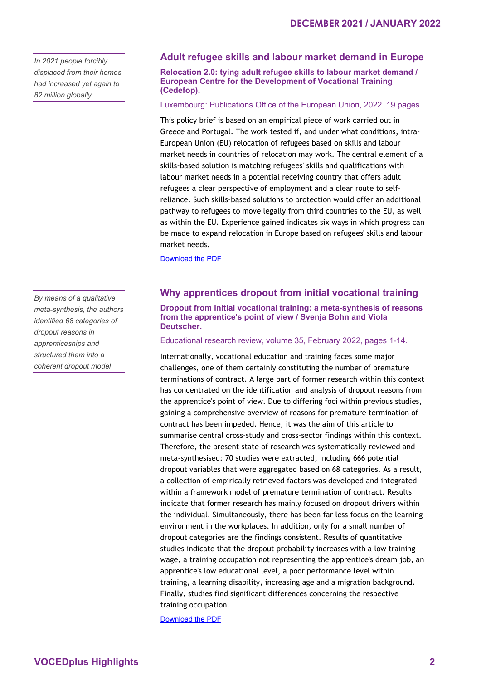*In 2021 people forcibly displaced from their homes had increased yet again to 82 million globally*

#### **Adult refugee skills and labour market demand in Europe**

**Relocation 2.0: tying adult refugee skills to labour market demand / European Centre for the Development of Vocational Training (Cedefop).**

Luxembourg: Publications Office of the European Union, 2022. 19 pages.

This policy brief is based on an empirical piece of work carried out in Greece and Portugal. The work tested if, and under what conditions, intra-European Union (EU) relocation of refugees based on skills and labour market needs in countries of relocation may work. The central element of a skills-based solution is matching refugees' skills and qualifications with labour market needs in a potential receiving country that offers adult refugees a clear perspective of employment and a clear route to selfreliance. Such skills-based solutions to protection would offer an additional pathway to refugees to move legally from third countries to the EU, as well as within the EU. Experience gained indicates six ways in which progress can be made to expand relocation in Europe based on refugees' skills and labour market needs.

[Download the PDF](https://www.cedefop.europa.eu/files/9163_en.pdf)

#### **Why apprentices dropout from initial vocational training**

**Dropout from initial vocational training: a meta-synthesis of reasons from the apprentice's point of view / Svenja Bohn and Viola Deutscher.**

Educational research review, volume 35, February 2022, pages 1-14.

Internationally, vocational education and training faces some major challenges, one of them certainly constituting the number of premature terminations of contract. A large part of former research within this context has concentrated on the identification and analysis of dropout reasons from the apprentice's point of view. Due to differing foci within previous studies, gaining a comprehensive overview of reasons for premature termination of contract has been impeded. Hence, it was the aim of this article to summarise central cross-study and cross-sector findings within this context. Therefore, the present state of research was systematically reviewed and meta-synthesised: 70 studies were extracted, including 666 potential dropout variables that were aggregated based on 68 categories. As a result, a collection of empirically retrieved factors was developed and integrated within a framework model of premature termination of contract. Results indicate that former research has mainly focused on dropout drivers within the individual. Simultaneously, there has been far less focus on the learning environment in the workplaces. In addition, only for a small number of dropout categories are the findings consistent. Results of quantitative studies indicate that the dropout probability increases with a low training wage, a training occupation not representing the apprentice's dream job, an apprentice's low educational level, a poor performance level within training, a learning disability, increasing age and a migration background. Finally, studies find significant differences concerning the respective training occupation.

[Download the PDF](https://doi.org/10.1016/j.edurev.2021.100414)

*By means of a qualitative meta-synthesis, the authors identified 68 categories of dropout reasons in apprenticeships and structured them into a coherent dropout model*